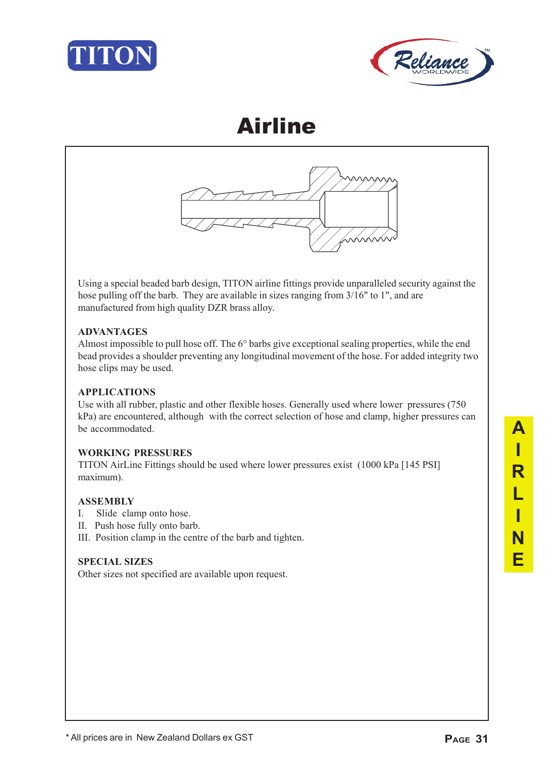





Using a special beaded barb design, TITON airline fittings provide unparalleled security against the hose pulling off the barb. They are available in sizes ranging from 3/16" to 1", and are manufactured from high quality DZR brass alloy.

### **ADVANTAGES**

Almost impossible to pull hose off. The 6° barbs give exceptional sealing properties, while the end bead provides a shoulder preventing any longitudinal movement of the hose. For added integrity two hose clips may be used.

### **APPLICATIONS**

Use with all rubber, plastic and other flexible hoses. Generally used where lower pressures (750 kPa) are encountered, although with the correct selection of hose and clamp, higher pressures can be accommodated.

### **WORKING PRESSURES**

TITON AirLine Fittings should be used where lower pressures exist (1000 kPa [145 PSI] maximum).

### **ASSEMBLY**

- I. Slide clamp onto hose.
- II. Push hose fully onto barb.
- III. Position clamp in the centre of the barb and tighten.

### **SPECIAL SIZES**

Other sizes not specified are available upon request.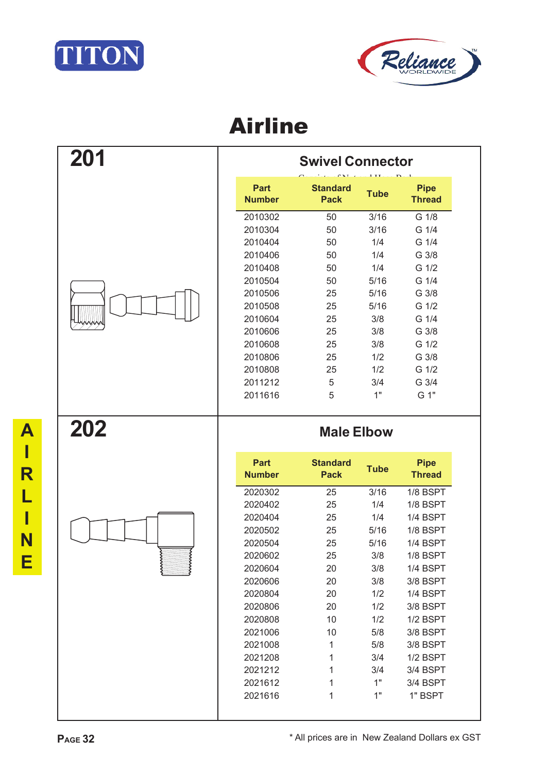



| 201 | <b>Swivel Connector</b>      |                                |             |                              |
|-----|------------------------------|--------------------------------|-------------|------------------------------|
|     | <b>Part</b><br><b>Number</b> | <b>Standard</b><br><b>Pack</b> | <b>Tube</b> | <b>Pipe</b><br><b>Thread</b> |
|     | 2010302                      | 50                             | 3/16        | G 1/8                        |
|     | 2010304                      | 50                             | 3/16        | G 1/4                        |
|     | 2010404                      | 50                             | 1/4         | G 1/4                        |
|     | 2010406                      | 50                             | 1/4         | G 3/8                        |
|     | 2010408                      | 50                             | 1/4         | G 1/2                        |
|     | 2010504                      | 50                             | 5/16        | G 1/4                        |
|     | 2010506                      | 25                             | 5/16        | G 3/8                        |
|     | 2010508                      | 25                             | 5/16        | G 1/2                        |
|     | 2010604                      | 25                             | 3/8         | G 1/4                        |
|     | 2010606                      | 25                             | 3/8         | G 3/8                        |
|     | 2010608                      | 25                             | 3/8         | G 1/2                        |
|     | 2010806                      | 25                             | 1/2         | G 3/8                        |
|     | 2010808                      | 25                             | 1/2         | G 1/2                        |
|     | 2011212                      | 5                              | 3/4         | G 3/4                        |
|     | 2011616                      | 5                              | 1"          | G 1"                         |
|     |                              |                                |             |                              |
| 202 |                              | <b>Male Elbow</b>              |             |                              |
|     | <b>Part</b><br><b>Number</b> | <b>Standard</b><br><b>Pack</b> | <b>Tube</b> | <b>Pipe</b><br><b>Thread</b> |
|     | 2020302                      | 25                             | 3/16        | 1/8 BSPT                     |
|     | 2020402                      | 25                             | 1/4         | 1/8 BSPT                     |
|     | 2020404                      | 25                             | 1/4         | 1/4 BSPT                     |
|     | 2020502                      | 25                             | 5/16        | 1/8 BSPT                     |
|     | 2020504                      | 25                             | 5/16        | 1/4 BSPT                     |
|     | 2020602                      | 25                             | 3/8         | 1/8 BSPT                     |
|     | 2020604                      | 20                             | 3/8         | 1/4 BSPT                     |
|     | 2020606                      | 20                             | 3/8         | 3/8 BSPT                     |
|     | 2020804                      | 20                             | 1/2         | 1/4 BSPT                     |
|     | 2020806                      | 20                             | 1/2         | 3/8 BSPT                     |
|     | 2020808                      | 10                             | 1/2         | 1/2 BSPT                     |
|     | 2021006                      | 10                             | 5/8         | 3/8 BSPT                     |
|     | 2021008                      | 1                              |             | 3/8 BSPT                     |
|     | 2021208                      | 1                              | 5/8<br>3/4  |                              |
|     | 2021212                      | 1                              | 3/4         | 1/2 BSPT<br>3/4 BSPT         |
|     | 2021612                      | 1                              | 1"          | 3/4 BSPT                     |

**A**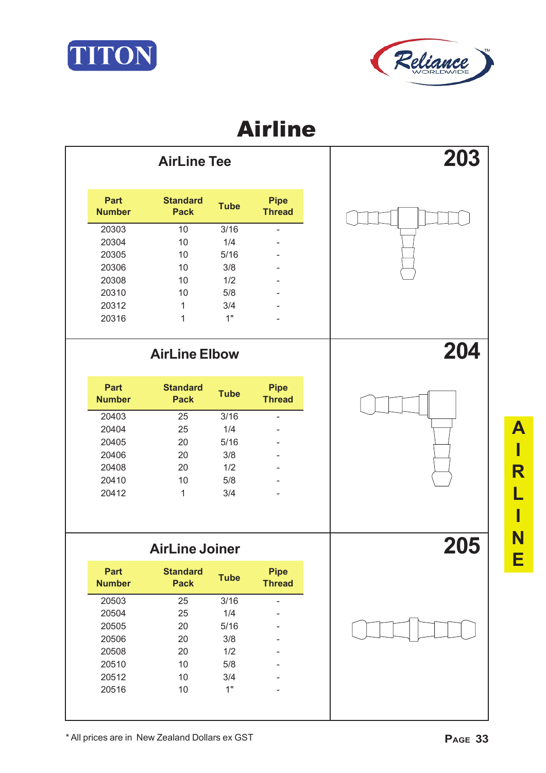



| <b>AirLine Tee</b> |                              |                                | 203         |                              |  |
|--------------------|------------------------------|--------------------------------|-------------|------------------------------|--|
|                    | <b>Part</b><br><b>Number</b> | <b>Standard</b><br><b>Pack</b> | <b>Tube</b> | <b>Pipe</b><br><b>Thread</b> |  |
|                    | 20303                        | 10                             | 3/16        | -                            |  |
|                    | 20304                        | 10                             | 1/4         | -                            |  |
|                    | 20305                        | 10                             | 5/16        |                              |  |
|                    | 20306                        | 10                             | 3/8         |                              |  |
|                    | 20308                        | 10                             | 1/2         | -                            |  |
|                    | 20310                        | 10                             | 5/8         | -                            |  |
|                    | 20312                        | 1                              | 3/4         | -                            |  |
|                    | 20316                        | 1                              | 1"          |                              |  |
|                    |                              |                                |             |                              |  |

| <b>Part</b><br><b>Number</b> | <b>Standard</b><br><b>Pack</b> | <b>Tube</b> | <b>Pipe</b><br><b>Thread</b> |
|------------------------------|--------------------------------|-------------|------------------------------|
| 20403                        | 25                             | 3/16        |                              |
| 20404                        | 25                             | 1/4         |                              |
| 20405                        | 20                             | 5/16        |                              |
| 20406                        | 20                             | 3/8         |                              |
| 20408                        | 20                             | 1/2         |                              |
| 20410                        | 10                             | 5/8         |                              |
| 20412                        | 1                              | 3/4         |                              |



| <b>AirLine Joiner</b> |                                |             |                              |  |
|-----------------------|--------------------------------|-------------|------------------------------|--|
| Part<br><b>Number</b> | <b>Standard</b><br><b>Pack</b> | <b>Tube</b> | <b>Pipe</b><br><b>Thread</b> |  |
| 20503                 | 25                             | 3/16        |                              |  |
| 20504                 | 25                             | 1/4         |                              |  |
| 20505                 | 20                             | 5/16        |                              |  |
| 20506                 | 20                             | 3/8         |                              |  |
| 20508                 | 20                             | 1/2         |                              |  |
| 20510                 | 10                             | 5/8         |                              |  |
| 20512                 | 10                             | 3/4         |                              |  |
| 20516                 | 10                             | 1"          |                              |  |



**A I R L I N E**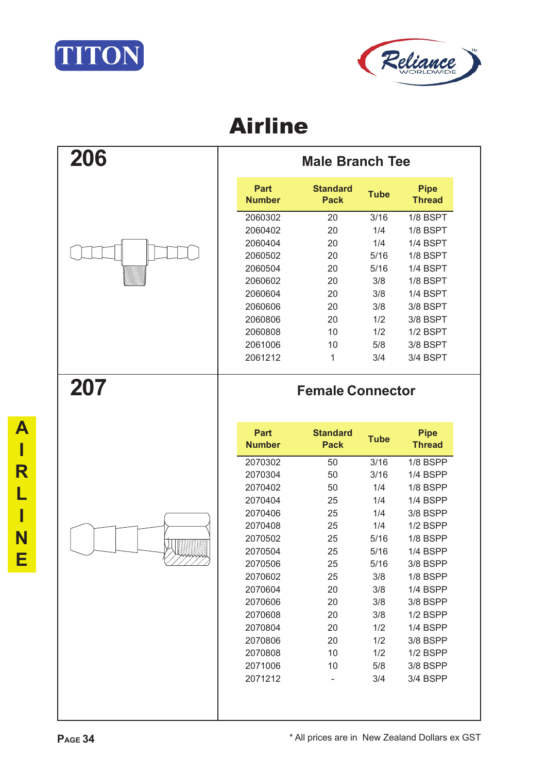



| 206 | <b>Male Branch Tee</b>       |                                |             |                              |  |
|-----|------------------------------|--------------------------------|-------------|------------------------------|--|
|     | <b>Part</b><br><b>Number</b> | <b>Standard</b><br><b>Pack</b> | <b>Tube</b> | <b>Pipe</b><br><b>Thread</b> |  |
|     | 2060302                      | 20                             | 3/16        | 1/8 BSPT                     |  |
|     | 2060402                      | 20                             | 1/4         | 1/8 BSPT                     |  |
|     | 2060404                      | 20                             | 1/4         | 1/4 BSPT                     |  |
|     | 2060502                      | 20                             | 5/16        | 1/8 BSPT                     |  |
|     | 2060504                      | 20                             | 5/16        | 1/4 BSPT                     |  |
|     | 2060602                      | 20                             | 3/8         | 1/8 BSPT                     |  |
|     | 2060604                      | 20                             | 3/8         | 1/4 BSPT                     |  |
|     | 2060606                      | 20                             | 3/8         | 3/8 BSPT                     |  |
|     | 2060806                      | 20                             | 1/2         | 3/8 BSPT                     |  |
|     | 2060808                      | 10                             | 1/2         | $1/2$ BSPT                   |  |
|     | 2061006                      | 10                             | 5/8         | 3/8 BSPT                     |  |
|     | 2061212                      | 1                              | 3/4         | 3/4 BSPT                     |  |
| 207 |                              | <b>Female Connector</b>        |             |                              |  |

| Part<br><b>Number</b> | <b>Standard</b><br>Pack | <b>Tube</b> | <b>Pipe</b><br><b>Thread</b> |
|-----------------------|-------------------------|-------------|------------------------------|
| 2070302               | 50                      | 3/16        | $1/8$ BSPP                   |
| 2070304               | 50                      | 3/16        | 1/4 BSPP                     |
| 2070402               | 50                      | 1/4         | 1/8 BSPP                     |
| 2070404               | 25                      | 1/4         | 1/4 BSPP                     |
| 2070406               | 25                      | 1/4         | 3/8 BSPP                     |
| 2070408               | 25                      | 1/4         | <b>1/2 BSPP</b>              |
| 2070502               | 25                      | 5/16        | $1/8$ BSPP                   |
| 2070504               | 25                      | 5/16        | 1/4 BSPP                     |
| 2070506               | 25                      | 5/16        | 3/8 BSPP                     |
| 2070602               | 25                      | 3/8         | $1/8$ BSPP                   |
| 2070604               | 20                      | 3/8         | 1/4 BSPP                     |
| 2070606               | 20                      | 3/8         | 3/8 BSPP                     |
| 2070608               | 20                      | 3/8         | $1/2$ BSPP                   |
| 2070804               | 20                      | 1/2         | 1/4 BSPP                     |
| 2070806               | 20                      | 1/2         | 3/8 BSPP                     |
| 2070808               | 10                      | 1/2         | $1/2$ BSPP                   |
| 2071006               | 10                      | 5/8         | 3/8 BSPP                     |
| 2071212               |                         | 3/4         | 3/4 BSPP                     |
|                       |                         |             |                              |